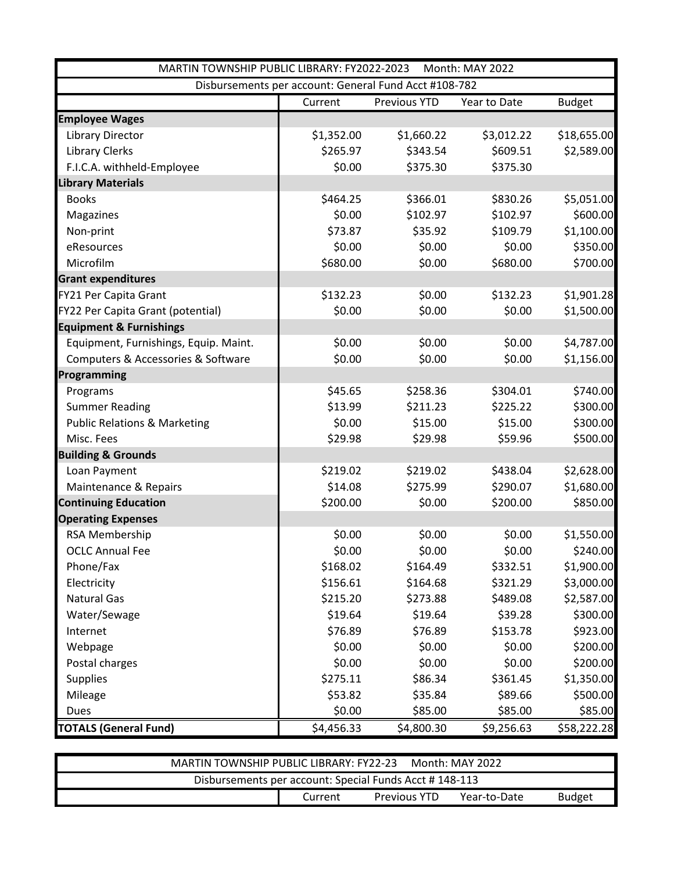| MARTIN TOWNSHIP PUBLIC LIBRARY: FY2022-2023<br>Month: MAY 2022 |            |              |              |               |  |
|----------------------------------------------------------------|------------|--------------|--------------|---------------|--|
| Disbursements per account: General Fund Acct #108-782          |            |              |              |               |  |
|                                                                | Current    | Previous YTD | Year to Date | <b>Budget</b> |  |
| <b>Employee Wages</b>                                          |            |              |              |               |  |
| <b>Library Director</b>                                        | \$1,352.00 | \$1,660.22   | \$3,012.22   | \$18,655.00   |  |
| <b>Library Clerks</b>                                          | \$265.97   | \$343.54     | \$609.51     | \$2,589.00    |  |
| F.I.C.A. withheld-Employee                                     | \$0.00     | \$375.30     | \$375.30     |               |  |
| <b>Library Materials</b>                                       |            |              |              |               |  |
| <b>Books</b>                                                   | \$464.25   | \$366.01     | \$830.26     | \$5,051.00    |  |
| Magazines                                                      | \$0.00     | \$102.97     | \$102.97     | \$600.00      |  |
| Non-print                                                      | \$73.87    | \$35.92      | \$109.79     | \$1,100.00    |  |
| eResources                                                     | \$0.00     | \$0.00       | \$0.00       | \$350.00      |  |
| Microfilm                                                      | \$680.00   | \$0.00       | \$680.00     | \$700.00      |  |
| <b>Grant expenditures</b>                                      |            |              |              |               |  |
| FY21 Per Capita Grant                                          | \$132.23   | \$0.00       | \$132.23     | \$1,901.28    |  |
| FY22 Per Capita Grant (potential)                              | \$0.00     | \$0.00       | \$0.00       | \$1,500.00    |  |
| <b>Equipment &amp; Furnishings</b>                             |            |              |              |               |  |
| Equipment, Furnishings, Equip. Maint.                          | \$0.00     | \$0.00       | \$0.00       | \$4,787.00    |  |
| Computers & Accessories & Software                             | \$0.00     | \$0.00       | \$0.00       | \$1,156.00    |  |
| Programming                                                    |            |              |              |               |  |
| Programs                                                       | \$45.65    | \$258.36     | \$304.01     | \$740.00      |  |
| <b>Summer Reading</b>                                          | \$13.99    | \$211.23     | \$225.22     | \$300.00      |  |
| <b>Public Relations &amp; Marketing</b>                        | \$0.00     | \$15.00      | \$15.00      | \$300.00      |  |
| Misc. Fees                                                     | \$29.98    | \$29.98      | \$59.96      | \$500.00      |  |
| <b>Building &amp; Grounds</b>                                  |            |              |              |               |  |
| Loan Payment                                                   | \$219.02   | \$219.02     | \$438.04     | \$2,628.00    |  |
| Maintenance & Repairs                                          | \$14.08    | \$275.99     | \$290.07     | \$1,680.00    |  |
| <b>Continuing Education</b>                                    | \$200.00   | \$0.00       | \$200.00     | \$850.00      |  |
| <b>Operating Expenses</b>                                      |            |              |              |               |  |
| RSA Membership                                                 | \$0.00     | \$0.00       | \$0.00       | \$1,550.00    |  |
| <b>OCLC Annual Fee</b>                                         | \$0.00     | \$0.00       | \$0.00       | \$240.00      |  |
| Phone/Fax                                                      | \$168.02   | \$164.49     | \$332.51     | \$1,900.00    |  |
| Electricity                                                    | \$156.61   | \$164.68     | \$321.29     | \$3,000.00    |  |
| <b>Natural Gas</b>                                             | \$215.20   | \$273.88     | \$489.08     | \$2,587.00    |  |
| Water/Sewage                                                   | \$19.64    | \$19.64      | \$39.28      | \$300.00      |  |
| Internet                                                       | \$76.89    | \$76.89      | \$153.78     | \$923.00      |  |
| Webpage                                                        | \$0.00     | \$0.00       | \$0.00       | \$200.00      |  |
| Postal charges                                                 | \$0.00     | \$0.00       | \$0.00       | \$200.00      |  |
| <b>Supplies</b>                                                | \$275.11   | \$86.34      | \$361.45     | \$1,350.00    |  |
| Mileage                                                        | \$53.82    | \$35.84      | \$89.66      | \$500.00      |  |
| Dues                                                           | \$0.00     | \$85.00      | \$85.00      | \$85.00       |  |
| <b>TOTALS (General Fund)</b>                                   | \$4,456.33 | \$4,800.30   | \$9,256.63   | \$58,222.28   |  |

| MARTIN TOWNSHIP PUBLIC LIBRARY: FY22-23                |         |                     | Month: MAY 2022 |               |  |  |
|--------------------------------------------------------|---------|---------------------|-----------------|---------------|--|--|
| Disbursements per account: Special Funds Acct #148-113 |         |                     |                 |               |  |  |
|                                                        | Current | <b>Previous YTD</b> | Year-to-Date    | <b>Budget</b> |  |  |